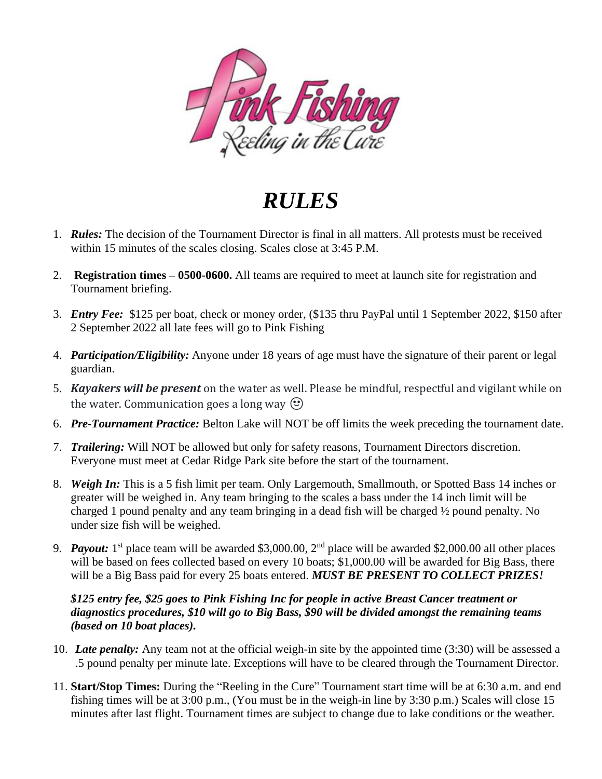

*RULES*

- 1. *Rules:* The decision of the Tournament Director is final in all matters. All protests must be received within 15 minutes of the scales closing. Scales close at 3:45 P.M.
- 2. **Registration times – 0500-0600.** All teams are required to meet at launch site for registration and Tournament briefing.
- 3. *Entry Fee:* \$125 per boat, check or money order, (\$135 thru PayPal until 1 September 2022, \$150 after 2 September 2022 all late fees will go to Pink Fishing
- 4. *Participation/Eligibility:* Anyone under 18 years of age must have the signature of their parent or legal guardian.
- 5. *Kayakers will be present* on the water as well. Please be mindful, respectful and vigilant while on the water. Communication goes a long way  $\odot$
- 6. *Pre-Tournament Practice:* Belton Lake will NOT be off limits the week preceding the tournament date.
- 7. *Trailering:* Will NOT be allowed but only for safety reasons, Tournament Directors discretion. Everyone must meet at Cedar Ridge Park site before the start of the tournament.
- 8. *Weigh In:* This is a 5 fish limit per team. Only Largemouth, Smallmouth, or Spotted Bass 14 inches or greater will be weighed in. Any team bringing to the scales a bass under the 14 inch limit will be charged 1 pound penalty and any team bringing in a dead fish will be charged ½ pound penalty. No under size fish will be weighed.
- 9. **Payout:** 1<sup>st</sup> place team will be awarded \$3,000.00, 2<sup>nd</sup> place will be awarded \$2,000.00 all other places will be based on fees collected based on every 10 boats; \$1,000.00 will be awarded for Big Bass, there will be a Big Bass paid for every 25 boats entered. *MUST BE PRESENT TO COLLECT PRIZES!*

## *\$125 entry fee, \$25 goes to Pink Fishing Inc for people in active Breast Cancer treatment or diagnostics procedures, \$10 will go to Big Bass, \$90 will be divided amongst the remaining teams (based on 10 boat places).*

- 10. *Late penalty:* Any team not at the official weigh-in site by the appointed time (3:30) will be assessed a .5 pound penalty per minute late. Exceptions will have to be cleared through the Tournament Director.
- 11. **Start/Stop Times:** During the "Reeling in the Cure" Tournament start time will be at 6:30 a.m. and end fishing times will be at 3:00 p.m., (You must be in the weigh-in line by 3:30 p.m.) Scales will close 15 minutes after last flight. Tournament times are subject to change due to lake conditions or the weather.